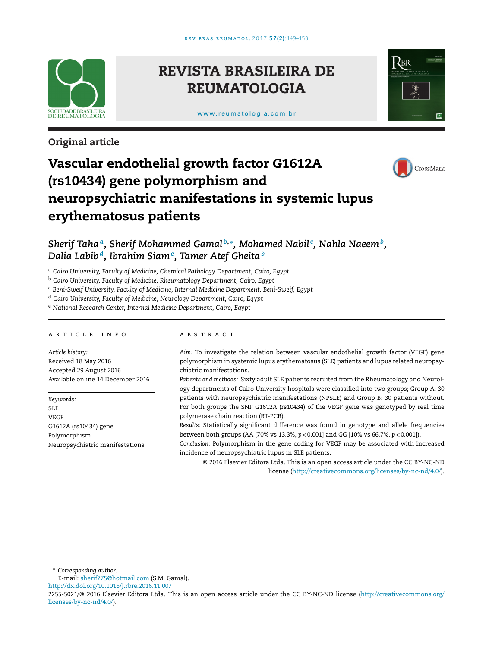

# **REVISTA BRASILEIRA DE REUMATOLOGIA**

[www.reumatologia.com.br](http://www.reumatologia.com.br)



# **Original article**



# **Vascular endothelial growth factor G1612A (rs10434) gene polymorphism and neuropsychiatric manifestations in systemic lupus erythematosus patients**

*Sherif Tahaa, Sherif Mohammed Gamal <sup>b</sup>***,∗***, Mohamed Nabil <sup>c</sup> , Nahla Naeemb, Dalia Labib d, Ibrahim Siam<sup>e</sup> , Tamer Atef Gheita<sup>b</sup>*

<sup>a</sup> *Cairo University, Faculty of Medicine, Chemical Pathology Department, Cairo, Egypt*

<sup>b</sup> *Cairo University, Faculty of Medicine, Rheumatology Department, Cairo, Egypt*

<sup>c</sup> *Beni-Sweif University, Faculty of Medicine, Internal Medicine Department, Beni-Sweif, Egypt*

<sup>d</sup> *Cairo University, Faculty of Medicine, Neurology Department, Cairo, Egypt*

<sup>e</sup> *National Research Center, Internal Medicine Department, Cairo, Egypt*

# ARTICLE INFO

*Article history:* Received 18 May 2016 Accepted 29 August 2016 Available online 14 December 2016

*Keywords:* SLE VEGF G1612A (rs10434) gene Polymorphism Neuropsychiatric manifestations

# a b s t r a c t

*Aim:* To investigate the relation between vascular endothelial growth factor (VEGF) gene polymorphism in systemic lupus erythematosus (SLE) patients and lupus related neuropsychiatric manifestations.

*Patients and methods:* Sixty adult SLE patients recruited from the Rheumatology and Neurology departments of Cairo University hospitals were classified into two groups; Group A: 30 patients with neuropsychiatric manifestations (NPSLE) and Group B: 30 patients without. For both groups the SNP G1612A (rs10434) of the VEGF gene was genotyped by real time polymerase chain reaction (RT-PCR).

*Results:* Statistically significant difference was found in genotype and allele frequencies between both groups (AA [70% vs 13.3%, *p* < 0.001] and GG [10% vs 66.7%, *p* < 0.001]).

*Conclusion:* Polymorphism in the gene coding for VEGF may be associated with increased incidence of neuropsychiatric lupus in SLE patients.

© 2016 Elsevier Editora Ltda. This is an open access article under the CC BY-NC-ND license ([http://creativecommons.org/licenses/by-nc-nd/4.0/\)](http://creativecommons.org/licenses/by-nc-nd/4.0/).

∗ *Corresponding author*.

E-mail: [sherif775@hotmail.com](mailto:sherif775@hotmail.com) (S.M. Gamal).

[http://dx.doi.org/10.1016/j.rbre.2016.11.007](dx.doi.org/10.1016/j.rbre.2016.11.007)

2255-5021/© 2016 Elsevier Editora Ltda. This is an open access article under the CC BY-NC-ND license [\(http://creativecommons.org/](http://creativecommons.org/licenses/by-nc-nd/4.0/) [licenses/by-nc-nd/4.0/](http://creativecommons.org/licenses/by-nc-nd/4.0/)).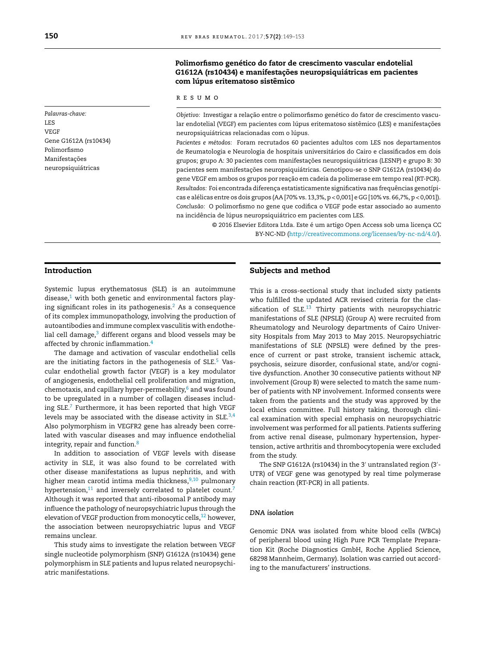*Palavras-chave:* LES VEGF Gene G1612A (rs10434) Polimorfismo Manifestações neuropsiquiátricas

# **Polimorfismo genético do fator de crescimento vascular endotelial G1612A (rs10434) e manifestac¸ões neuropsiquiátricas em pacientes com lúpus eritematoso sistêmico**

r e s u m o

*Objetivo: Investigar a relação entre o polimorfismo genético do fator de crescimento vascu*lar endotelial (VEGF) em pacientes com lúpus eritematoso sistêmico (LES) e manifestações neuropsiquiátricas relacionadas com o lúpus.

*Pacientes e métodos:* Foram recrutados 60 pacientes adultos com LES nos departamentos de Reumatologia e Neurologia de hospitais universitários do Cairo e classificados em dois grupos; grupo A: 30 pacientes com manifestações neuropsiquiátricas (LESNP) e grupo B: 30 pacientes sem manifestações neuropsiquiátricas. Genotipou-se o SNP G1612A (rs10434) do gene VEGF em ambos os grupos por reação em cadeia da polimerase em tempo real (RT-PCR). Resultados: Foi encontrada diferença estatisticamente significativa nas frequências genotípicas e alélicas entre os dois grupos (AA [70% vs. 13,3%, p < 0,001] e GG [10% vs. 66,7%, p < 0,001]). *Conclusão:* O polimorfismo no gene que codifica o VEGF pode estar associado ao aumento na incidência de lúpus neuropsiquiátrico em pacientes com LES.

> © 2016 Elsevier Editora Ltda. Este é um artigo Open Access sob uma licença CC BY-NC-ND ([http://creativecommons.org/licenses/by-nc-nd/4.0/\)](http://creativecommons.org/licenses/by-nc-nd/4.0/).

## **Introduction**

Systemic lupus erythematosus (SLE) is an autoimmune disease, $1$  with both genetic and environmental factors playing significant roles in its pathogenesis.<sup>2</sup> As a consequence of its complex immunopathology, involving the production of autoantibodies and immune complex vasculitis with endothelial cell damage, $3$  different organs and blood vessels may be affected by chronic inflammation.<sup>[4](#page-3-0)</sup>

The damage and activation of vascular endothelial cells are the initiating factors in the pathogenesis of SLE.<sup>[5](#page-3-0)</sup> Vascular endothelial growth factor (VEGF) is a key modulator of angiogenesis, endothelial cell proliferation and migration, chemotaxis, and capillary hyper-permeability, $6$  and was found to be upregulated in a number of collagen diseases includ-ing SLE.<sup>[7](#page-3-0)</sup> Furthermore, it has been reported that high VEGF levels may be associated with the disease activity in SLE. $^{3,4}$  $^{3,4}$  $^{3,4}$ Also polymorphism in VEGFR2 gene has already been correlated with vascular diseases and may influence endothelial integrity, repair and function[.8](#page-3-0)

In addition to association of VEGF levels with disease activity in SLE, it was also found to be correlated with other disease manifestations as lupus nephritis, and with higher mean carotid intima media thickness, $9,10$  pulmonary hypertension, $11$  and inversely correlated to platelet count.<sup>[7](#page-3-0)</sup> Although it was reported that anti-ribosomal P antibody may influence the pathology of neuropsychiatric lupus through the elevation of VEGF production from monocytic cells,<sup>[12](#page-4-0)</sup> however, the association between neuropsychiatric lupus and VEGF remains unclear.

This study aims to investigate the relation between VEGF single nucleotide polymorphism (SNP) G1612A (rs10434) gene polymorphism in SLE patients and lupus related neuropsychiatric manifestations.

### **Subjects and method**

This is a cross-sectional study that included sixty patients who fulfilled the updated ACR revised criteria for the classification of SLE. $^{13}$  $^{13}$  $^{13}$  Thirty patients with neuropsychiatric manifestations of SLE (NPSLE) (Group A) were recruited from Rheumatology and Neurology departments of Cairo University Hospitals from May 2013 to May 2015. Neuropsychiatric manifestations of SLE (NPSLE) were defined by the presence of current or past stroke, transient ischemic attack, psychosis, seizure disorder, confusional state, and/or cognitive dysfunction. Another 30 consecutive patients without NP involvement (Group B) were selected to match the same number of patients with NP involvement. Informed consents were taken from the patients and the study was approved by the local ethics committee. Full history taking, thorough clinical examination with special emphasis on neuropsychiatric involvement was performed for all patients. Patients suffering from active renal disease, pulmonary hypertension, hypertension, active arthritis and thrombocytopenia were excluded from the study.

The SNP G1612A (rs10434) in the 3 $^{\prime}$  untranslated region (3 $^{\prime}$ -UTR) of VEGF gene was genotyped by real time polymerase chain reaction (RT-PCR) in all patients.

#### *DNA isolation*

Genomic DNA was isolated from white blood cells (WBCs) of peripheral blood using High Pure PCR Template Preparation Kit (Roche Diagnostics GmbH, Roche Applied Science, 68298 Mannheim, Germany). Isolation was carried out according to the manufacturers' instructions.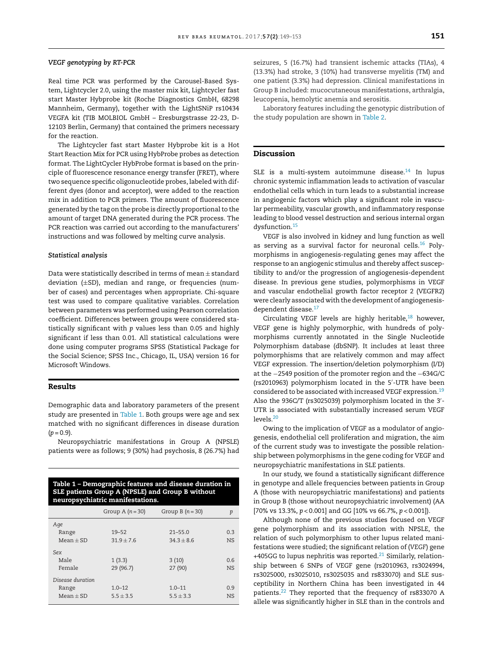#### *VEGF genotyping by RT-PCR*

Real time PCR was performed by the Carousel-Based System, Lightcycler 2.0, using the master mix kit, Lightcycler fast start Master Hybprobe kit (Roche Diagnostics GmbH, 68298 Mannheim, Germany), together with the LightSNiP rs10434 VEGFA kit (TIB MOLBIOL GmbH – Eresburgstrasse 22-23, D-12103 Berlin, Germany) that contained the primers necessary for the reaction.

The Lightcycler fast start Master Hybprobe kit is a Hot Start Reaction Mix for PCR using HybProbe probes as detection format. The LightCycler HybProbe format is based on the principle of fluorescence resonance energy transfer (FRET), where two sequence specific oligonucleotide probes, labeled with different dyes (donor and acceptor), were added to the reaction mix in addition to PCR primers. The amount of fluorescence generated by the tag on the probe is directly proportional to the amount of target DNA generated during the PCR process. The PCR reaction was carried out according to the manufacturers' instructions and was followed by melting curve analysis.

#### *Statistical analysis*

Data were statistically described in terms of mean  $\pm$  standard deviation  $(\pm SD)$ , median and range, or frequencies (number of cases) and percentages when appropriate. Chi-square test was used to compare qualitative variables. Correlation between parameters was performed using Pearson correlation coefficient. Differences between groups were considered statistically significant with *p* values less than 0.05 and highly significant if less than 0.01. All statistical calculations were done using computer programs SPSS (Statistical Package for the Social Science; SPSS Inc., Chicago, IL, USA) version 16 for Microsoft Windows.

#### **Results**

Demographic data and laboratory parameters of the present study are presented in Table 1. Both groups were age and sex matched with no significant differences in disease duration  $(p = 0.9)$ .

Neuropsychiatric manifestations in Group A (NPSLE) patients were as follows; 9 (30%) had psychosis, 8 (26.7%) had

| Table 1 - Demographic features and disease duration in<br>SLE patients Group A (NPSLE) and Group B without<br>neuropsychiatric manifestations. |                  |                  |           |  |
|------------------------------------------------------------------------------------------------------------------------------------------------|------------------|------------------|-----------|--|
|                                                                                                                                                | Group A $(n=30)$ | Group B $(n=30)$ | p         |  |
| Age                                                                                                                                            |                  |                  |           |  |
| Range                                                                                                                                          | $19 - 52$        | $21 - 55.0$      | 0.3       |  |
| $Mean + SD$                                                                                                                                    | $31.9 + 7.6$     | $34.3 + 8.6$     | <b>NS</b> |  |
| Sex                                                                                                                                            |                  |                  |           |  |
| Male                                                                                                                                           | 1(3.3)           | 3(10)            | 06        |  |
| Female                                                                                                                                         | 29 (96.7)        | 27 (90)          | <b>NS</b> |  |
| Disease duration                                                                                                                               |                  |                  |           |  |
| Range                                                                                                                                          | $1.0 - 12$       | $1.0 - 11$       | 0.9       |  |
| $Mean + SD$                                                                                                                                    | $5.5 + 3.5$      | $55 + 33$        | NS.       |  |

seizures, 5 (16.7%) had transient ischemic attacks (TIAs), 4 (13.3%) had stroke, 3 (10%) had transverse myelitis (TM) and one patient (3.3%) had depression. Clinical manifestations in Group B included: mucocutaneous manifestations, arthralgia, leucopenia, hemolytic anemia and serositis.

Laboratory features including the genotypic distribution of the study population are shown in [Table](#page-3-0) 2.

#### **Discussion**

SLE is a multi-system autoimmune disease. $14$  In lupus chronic systemic inflammation leads to activation of vascular endothelial cells which in turn leads to a substantial increase in angiogenic factors which play a significant role in vascular permeability, vascular growth, and inflammatory response leading to blood vessel destruction and serious internal organ dysfunction.[15](#page-4-0)

VEGF is also involved in kidney and lung function as well as serving as a survival factor for neuronal cells.<sup>[16](#page-4-0)</sup> Polymorphisms in angiogenesis-regulating genes may affect the response to an angiogenic stimulus and thereby affect susceptibility to and/or the progression of angiogenesis-dependent disease. In previous gene studies, polymorphisms in VEGF and vascular endothelial growth factor receptor 2 (VEGFR2) were clearly associated with the development of angiogenesisdependent disease.<sup>17</sup>

Circulating VEGF levels are highly heritable, $18$  however, VEGF gene is highly polymorphic, with hundreds of polymorphisms currently annotated in the Single Nucleotide Polymorphism database (dbSNP). It includes at least three polymorphisms that are relatively common and may affect VEGF expression. The insertion/deletion polymorphism (I/D) at the −2549 position of the promoter region and the −634G/C (rs2010963) polymorphism located in the 5 -UTR have been considered to be associated with increased VEGF expression.<sup>[19](#page-4-0)</sup> Also the 936C/T (rs3025039) polymorphism located in the 3 - UTR is associated with substantially increased serum VEGF levels[.20](#page-4-0)

Owing to the implication of VEGF as a modulator of angiogenesis, endothelial cell proliferation and migration, the aim of the current study was to investigate the possible relationship between polymorphisms in the gene coding for VEGF and neuropsychiatric manifestations in SLE patients.

In our study, we found a statistically significant difference in genotype and allele frequencies between patients in Group A (those with neuropsychiatric manifestations) and patients in Group B (those without neuropsychiatric involvement) (AA [70% vs 13.3%, *p* < 0.001] and GG [10% vs 66.7%, *p* < 0.001]).

Although none of the previous studies focused on VEGF gene polymorphism and its association with NPSLE, the relation of such polymorphism to other lupus related manifestations were studied; the significant relation of (*VEGF*) gene +405GG to lupus nephritis was reported.<sup>21</sup> Similarly, relationship between 6 SNPs of VEGF gene (rs2010963, rs3024994, rs3025000, rs3025010, rs3025035 and rs833070) and SLE susceptibility in Northern China has been investigated in 44 patients[.22](#page-4-0) They reported that the frequency of rs833070 A allele was significantly higher in SLE than in the controls and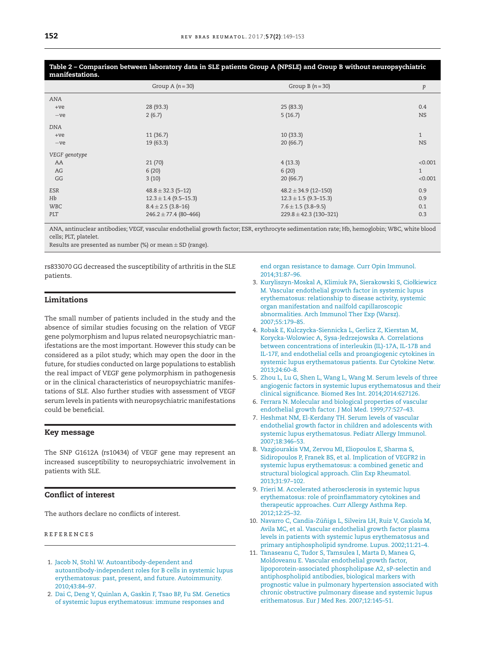<span id="page-3-0"></span>Table 2 - Comparison between laboratory data in SLE patients Group A (NPSLE) and Group B without neuropsychiatric **manifestations.**

|               | Group A $(n=30)$          | Group B $(n=30)$           | p            |
|---------------|---------------------------|----------------------------|--------------|
| ANA           |                           |                            |              |
| $+ve$         | 28 (93.3)                 | 25(83.3)                   | 0.4          |
| $-ve$         | 2(6.7)                    | 5(16.7)                    | <b>NS</b>    |
| <b>DNA</b>    |                           |                            |              |
| $+ve$         | 11(36.7)                  | 10(33.3)                   | $\mathbf{1}$ |
| $-ve$         | 19(63.3)                  | 20(66.7)                   | <b>NS</b>    |
| VEGF genotype |                           |                            |              |
| AA            | 21(70)                    | 4(13.3)                    | < 0.001      |
| AG            | 6(20)                     | 6(20)                      | $\mathbf{1}$ |
| GG            | 3(10)                     | 20(66.7)                   | < 0.001      |
| ESR           | $48.8 \pm 32.3$ (5-12)    | $48.2 \pm 34.9$ (12-150)   | 0.9          |
| Hb            | $12.3 \pm 1.4$ (9.5-15.3) | $12.3 \pm 1.5$ (9.3-15.3)  | 0.9          |
| <b>WBC</b>    | $8.4 \pm 2.5$ (3.8-16)    | $7.6 \pm 1.5$ (3.8–9.5)    | 0.1          |
| PLT           | $246.2 \pm 77.4$ (80-466) | $229.8 \pm 42.3$ (130-321) | 0.3          |

ANA, antinuclear antibodies; VEGF, vascular endothelial growth factor; ESR, erythrocyte sedimentation rate; Hb, hemoglobin; WBC, white blood cells; PLT, platelet.

Results are presented as number (%) or mean  $\pm$  SD (range).

rs833070 GG decreased the susceptibility of arthritis in the SLE patients.

# **Limitations**

The small number of patients included in the study and the absence of similar studies focusing on the relation of VEGF gene polymorphism and lupus related neuropsychiatric manifestations are the most important. However this study can be considered as a pilot study; which may open the door in the future, for studies conducted on large populations to establish the real impact of VEGF gene polymorphism in pathogenesis or in the clinical characteristics of neuropsychiatric manifestations of SLE. Also further studies with assessment of VEGF serum levels in patients with neuropsychiatric manifestations could be beneficial.

# **Key message**

The SNP G1612A (rs10434) of VEGF gene may represent an increased susceptibility to neuropsychiatric involvement in patients with SLE.

### **Conflict of interest**

The authors declare no conflicts of interest.

#### r e f e r enc e s

- 1. [Jacob](http://refhub.elsevier.com/S2255-5021(16)30098-0/sbref0115) [N,](http://refhub.elsevier.com/S2255-5021(16)30098-0/sbref0115) [Stohl](http://refhub.elsevier.com/S2255-5021(16)30098-0/sbref0115) [W.](http://refhub.elsevier.com/S2255-5021(16)30098-0/sbref0115) [Autoantibody-dependent](http://refhub.elsevier.com/S2255-5021(16)30098-0/sbref0115) [and](http://refhub.elsevier.com/S2255-5021(16)30098-0/sbref0115) [autoantibody-independent](http://refhub.elsevier.com/S2255-5021(16)30098-0/sbref0115) [roles](http://refhub.elsevier.com/S2255-5021(16)30098-0/sbref0115) [for](http://refhub.elsevier.com/S2255-5021(16)30098-0/sbref0115) [B](http://refhub.elsevier.com/S2255-5021(16)30098-0/sbref0115) [cells](http://refhub.elsevier.com/S2255-5021(16)30098-0/sbref0115) [in](http://refhub.elsevier.com/S2255-5021(16)30098-0/sbref0115) [systemic](http://refhub.elsevier.com/S2255-5021(16)30098-0/sbref0115) [lupus](http://refhub.elsevier.com/S2255-5021(16)30098-0/sbref0115) [erythematosus:](http://refhub.elsevier.com/S2255-5021(16)30098-0/sbref0115) [past,](http://refhub.elsevier.com/S2255-5021(16)30098-0/sbref0115) [present,](http://refhub.elsevier.com/S2255-5021(16)30098-0/sbref0115) [and](http://refhub.elsevier.com/S2255-5021(16)30098-0/sbref0115) [future.](http://refhub.elsevier.com/S2255-5021(16)30098-0/sbref0115) [Autoimmunity.](http://refhub.elsevier.com/S2255-5021(16)30098-0/sbref0115) [2010;43:84](http://refhub.elsevier.com/S2255-5021(16)30098-0/sbref0115)–[97.](http://refhub.elsevier.com/S2255-5021(16)30098-0/sbref0115)
- 2. [Dai](http://refhub.elsevier.com/S2255-5021(16)30098-0/sbref0120) [C,](http://refhub.elsevier.com/S2255-5021(16)30098-0/sbref0120) [Deng](http://refhub.elsevier.com/S2255-5021(16)30098-0/sbref0120) [Y,](http://refhub.elsevier.com/S2255-5021(16)30098-0/sbref0120) [Quinlan](http://refhub.elsevier.com/S2255-5021(16)30098-0/sbref0120) [A,](http://refhub.elsevier.com/S2255-5021(16)30098-0/sbref0120) [Gaskin](http://refhub.elsevier.com/S2255-5021(16)30098-0/sbref0120) [F,](http://refhub.elsevier.com/S2255-5021(16)30098-0/sbref0120) [Tsao](http://refhub.elsevier.com/S2255-5021(16)30098-0/sbref0120) [BP,](http://refhub.elsevier.com/S2255-5021(16)30098-0/sbref0120) [Fu](http://refhub.elsevier.com/S2255-5021(16)30098-0/sbref0120) [SM.](http://refhub.elsevier.com/S2255-5021(16)30098-0/sbref0120) [Genetics](http://refhub.elsevier.com/S2255-5021(16)30098-0/sbref0120) [of](http://refhub.elsevier.com/S2255-5021(16)30098-0/sbref0120) [systemic](http://refhub.elsevier.com/S2255-5021(16)30098-0/sbref0120) [lupus](http://refhub.elsevier.com/S2255-5021(16)30098-0/sbref0120) [erythematosus:](http://refhub.elsevier.com/S2255-5021(16)30098-0/sbref0120) [immune](http://refhub.elsevier.com/S2255-5021(16)30098-0/sbref0120) [responses](http://refhub.elsevier.com/S2255-5021(16)30098-0/sbref0120) [and](http://refhub.elsevier.com/S2255-5021(16)30098-0/sbref0120)

[end](http://refhub.elsevier.com/S2255-5021(16)30098-0/sbref0120) [organ](http://refhub.elsevier.com/S2255-5021(16)30098-0/sbref0120) [resistance](http://refhub.elsevier.com/S2255-5021(16)30098-0/sbref0120) [to](http://refhub.elsevier.com/S2255-5021(16)30098-0/sbref0120) [damage.](http://refhub.elsevier.com/S2255-5021(16)30098-0/sbref0120) [Curr](http://refhub.elsevier.com/S2255-5021(16)30098-0/sbref0120) [Opin](http://refhub.elsevier.com/S2255-5021(16)30098-0/sbref0120) [Immunol.](http://refhub.elsevier.com/S2255-5021(16)30098-0/sbref0120) [2014;31:87–96.](http://refhub.elsevier.com/S2255-5021(16)30098-0/sbref0120)

- 3. [Kuryliszyn-Moskal](http://refhub.elsevier.com/S2255-5021(16)30098-0/sbref0125) [A,](http://refhub.elsevier.com/S2255-5021(16)30098-0/sbref0125) [Klimiuk](http://refhub.elsevier.com/S2255-5021(16)30098-0/sbref0125) [PA,](http://refhub.elsevier.com/S2255-5021(16)30098-0/sbref0125) [Sierakowski](http://refhub.elsevier.com/S2255-5021(16)30098-0/sbref0125) [S,](http://refhub.elsevier.com/S2255-5021(16)30098-0/sbref0125) [Ciołkiewicz](http://refhub.elsevier.com/S2255-5021(16)30098-0/sbref0125) [M.](http://refhub.elsevier.com/S2255-5021(16)30098-0/sbref0125) [Vascular](http://refhub.elsevier.com/S2255-5021(16)30098-0/sbref0125) [endothelial](http://refhub.elsevier.com/S2255-5021(16)30098-0/sbref0125) [growth](http://refhub.elsevier.com/S2255-5021(16)30098-0/sbref0125) [factor](http://refhub.elsevier.com/S2255-5021(16)30098-0/sbref0125) [in](http://refhub.elsevier.com/S2255-5021(16)30098-0/sbref0125) [systemic](http://refhub.elsevier.com/S2255-5021(16)30098-0/sbref0125) [lupus](http://refhub.elsevier.com/S2255-5021(16)30098-0/sbref0125) [erythematosus:](http://refhub.elsevier.com/S2255-5021(16)30098-0/sbref0125) [relationship](http://refhub.elsevier.com/S2255-5021(16)30098-0/sbref0125) [to](http://refhub.elsevier.com/S2255-5021(16)30098-0/sbref0125) [disease](http://refhub.elsevier.com/S2255-5021(16)30098-0/sbref0125) [activity,](http://refhub.elsevier.com/S2255-5021(16)30098-0/sbref0125) [systemic](http://refhub.elsevier.com/S2255-5021(16)30098-0/sbref0125) [organ](http://refhub.elsevier.com/S2255-5021(16)30098-0/sbref0125) [manifestation](http://refhub.elsevier.com/S2255-5021(16)30098-0/sbref0125) [and](http://refhub.elsevier.com/S2255-5021(16)30098-0/sbref0125) [nailfold](http://refhub.elsevier.com/S2255-5021(16)30098-0/sbref0125) [capillaroscopic](http://refhub.elsevier.com/S2255-5021(16)30098-0/sbref0125) [abnormalities.](http://refhub.elsevier.com/S2255-5021(16)30098-0/sbref0125) [Arch](http://refhub.elsevier.com/S2255-5021(16)30098-0/sbref0125) [Immunol](http://refhub.elsevier.com/S2255-5021(16)30098-0/sbref0125) [Ther](http://refhub.elsevier.com/S2255-5021(16)30098-0/sbref0125) [Exp](http://refhub.elsevier.com/S2255-5021(16)30098-0/sbref0125) [\(Warsz\).](http://refhub.elsevier.com/S2255-5021(16)30098-0/sbref0125) [2007;55:179](http://refhub.elsevier.com/S2255-5021(16)30098-0/sbref0125)–[85.](http://refhub.elsevier.com/S2255-5021(16)30098-0/sbref0125)
- 4. [Robak](http://refhub.elsevier.com/S2255-5021(16)30098-0/sbref0130) [E,](http://refhub.elsevier.com/S2255-5021(16)30098-0/sbref0130) [Kulczycka-Siennicka](http://refhub.elsevier.com/S2255-5021(16)30098-0/sbref0130) [L,](http://refhub.elsevier.com/S2255-5021(16)30098-0/sbref0130) [Gerlicz](http://refhub.elsevier.com/S2255-5021(16)30098-0/sbref0130) [Z,](http://refhub.elsevier.com/S2255-5021(16)30098-0/sbref0130) [Kierstan](http://refhub.elsevier.com/S2255-5021(16)30098-0/sbref0130) [M,](http://refhub.elsevier.com/S2255-5021(16)30098-0/sbref0130) [Korycka-Wolowiec](http://refhub.elsevier.com/S2255-5021(16)30098-0/sbref0130) [A,](http://refhub.elsevier.com/S2255-5021(16)30098-0/sbref0130) [Sysa-Jedrzejowska](http://refhub.elsevier.com/S2255-5021(16)30098-0/sbref0130) [A.](http://refhub.elsevier.com/S2255-5021(16)30098-0/sbref0130) [Correlations](http://refhub.elsevier.com/S2255-5021(16)30098-0/sbref0130) [between](http://refhub.elsevier.com/S2255-5021(16)30098-0/sbref0130) [concentrations](http://refhub.elsevier.com/S2255-5021(16)30098-0/sbref0130) [of](http://refhub.elsevier.com/S2255-5021(16)30098-0/sbref0130) [interleukin](http://refhub.elsevier.com/S2255-5021(16)30098-0/sbref0130) [\(IL\)-17A,](http://refhub.elsevier.com/S2255-5021(16)30098-0/sbref0130) [IL-17B](http://refhub.elsevier.com/S2255-5021(16)30098-0/sbref0130) [and](http://refhub.elsevier.com/S2255-5021(16)30098-0/sbref0130) [IL-17F,](http://refhub.elsevier.com/S2255-5021(16)30098-0/sbref0130) [and](http://refhub.elsevier.com/S2255-5021(16)30098-0/sbref0130) [endothelial](http://refhub.elsevier.com/S2255-5021(16)30098-0/sbref0130) [cells](http://refhub.elsevier.com/S2255-5021(16)30098-0/sbref0130) [and](http://refhub.elsevier.com/S2255-5021(16)30098-0/sbref0130) [proangiogenic](http://refhub.elsevier.com/S2255-5021(16)30098-0/sbref0130) [cytokines](http://refhub.elsevier.com/S2255-5021(16)30098-0/sbref0130) [in](http://refhub.elsevier.com/S2255-5021(16)30098-0/sbref0130) [systemic](http://refhub.elsevier.com/S2255-5021(16)30098-0/sbref0130) [lupus](http://refhub.elsevier.com/S2255-5021(16)30098-0/sbref0130) [erythematosus](http://refhub.elsevier.com/S2255-5021(16)30098-0/sbref0130) [patients.](http://refhub.elsevier.com/S2255-5021(16)30098-0/sbref0130) [Eur](http://refhub.elsevier.com/S2255-5021(16)30098-0/sbref0130) [Cytokine](http://refhub.elsevier.com/S2255-5021(16)30098-0/sbref0130) [Netw.](http://refhub.elsevier.com/S2255-5021(16)30098-0/sbref0130) [2013;24:60](http://refhub.elsevier.com/S2255-5021(16)30098-0/sbref0130)–[8.](http://refhub.elsevier.com/S2255-5021(16)30098-0/sbref0130)
- 5. [Zhou](http://refhub.elsevier.com/S2255-5021(16)30098-0/sbref0135) [L,](http://refhub.elsevier.com/S2255-5021(16)30098-0/sbref0135) [Lu](http://refhub.elsevier.com/S2255-5021(16)30098-0/sbref0135) [G,](http://refhub.elsevier.com/S2255-5021(16)30098-0/sbref0135) [Shen](http://refhub.elsevier.com/S2255-5021(16)30098-0/sbref0135) [L,](http://refhub.elsevier.com/S2255-5021(16)30098-0/sbref0135) [Wang](http://refhub.elsevier.com/S2255-5021(16)30098-0/sbref0135) [L,](http://refhub.elsevier.com/S2255-5021(16)30098-0/sbref0135) [Wang](http://refhub.elsevier.com/S2255-5021(16)30098-0/sbref0135) [M.](http://refhub.elsevier.com/S2255-5021(16)30098-0/sbref0135) [Serum](http://refhub.elsevier.com/S2255-5021(16)30098-0/sbref0135) [levels](http://refhub.elsevier.com/S2255-5021(16)30098-0/sbref0135) [of](http://refhub.elsevier.com/S2255-5021(16)30098-0/sbref0135) [three](http://refhub.elsevier.com/S2255-5021(16)30098-0/sbref0135) [angiogenic](http://refhub.elsevier.com/S2255-5021(16)30098-0/sbref0135) [factors](http://refhub.elsevier.com/S2255-5021(16)30098-0/sbref0135) [in](http://refhub.elsevier.com/S2255-5021(16)30098-0/sbref0135) [systemic](http://refhub.elsevier.com/S2255-5021(16)30098-0/sbref0135) [lupus](http://refhub.elsevier.com/S2255-5021(16)30098-0/sbref0135) [erythematosus](http://refhub.elsevier.com/S2255-5021(16)30098-0/sbref0135) [and](http://refhub.elsevier.com/S2255-5021(16)30098-0/sbref0135) [their](http://refhub.elsevier.com/S2255-5021(16)30098-0/sbref0135) [clinical](http://refhub.elsevier.com/S2255-5021(16)30098-0/sbref0135) [significance.](http://refhub.elsevier.com/S2255-5021(16)30098-0/sbref0135) [Biomed](http://refhub.elsevier.com/S2255-5021(16)30098-0/sbref0135) [Res](http://refhub.elsevier.com/S2255-5021(16)30098-0/sbref0135) [Int.](http://refhub.elsevier.com/S2255-5021(16)30098-0/sbref0135) [2014;2014:627126.](http://refhub.elsevier.com/S2255-5021(16)30098-0/sbref0135)
- 6. [Ferrara](http://refhub.elsevier.com/S2255-5021(16)30098-0/sbref0140) [N.](http://refhub.elsevier.com/S2255-5021(16)30098-0/sbref0140) [Molecular](http://refhub.elsevier.com/S2255-5021(16)30098-0/sbref0140) [and](http://refhub.elsevier.com/S2255-5021(16)30098-0/sbref0140) [biological](http://refhub.elsevier.com/S2255-5021(16)30098-0/sbref0140) [properties](http://refhub.elsevier.com/S2255-5021(16)30098-0/sbref0140) [of](http://refhub.elsevier.com/S2255-5021(16)30098-0/sbref0140) [vascular](http://refhub.elsevier.com/S2255-5021(16)30098-0/sbref0140) [endothelial](http://refhub.elsevier.com/S2255-5021(16)30098-0/sbref0140) [growth](http://refhub.elsevier.com/S2255-5021(16)30098-0/sbref0140) [factor.](http://refhub.elsevier.com/S2255-5021(16)30098-0/sbref0140) [J](http://refhub.elsevier.com/S2255-5021(16)30098-0/sbref0140) [Mol](http://refhub.elsevier.com/S2255-5021(16)30098-0/sbref0140) [Med.](http://refhub.elsevier.com/S2255-5021(16)30098-0/sbref0140) [1999;77:527–43.](http://refhub.elsevier.com/S2255-5021(16)30098-0/sbref0140)
- 7. [Heshmat](http://refhub.elsevier.com/S2255-5021(16)30098-0/sbref0145) [NM,](http://refhub.elsevier.com/S2255-5021(16)30098-0/sbref0145) [El-Kerdany](http://refhub.elsevier.com/S2255-5021(16)30098-0/sbref0145) [TH.](http://refhub.elsevier.com/S2255-5021(16)30098-0/sbref0145) [Serum](http://refhub.elsevier.com/S2255-5021(16)30098-0/sbref0145) [levels](http://refhub.elsevier.com/S2255-5021(16)30098-0/sbref0145) [of](http://refhub.elsevier.com/S2255-5021(16)30098-0/sbref0145) [vascular](http://refhub.elsevier.com/S2255-5021(16)30098-0/sbref0145) [endothelial](http://refhub.elsevier.com/S2255-5021(16)30098-0/sbref0145) [growth](http://refhub.elsevier.com/S2255-5021(16)30098-0/sbref0145) [factor](http://refhub.elsevier.com/S2255-5021(16)30098-0/sbref0145) [in](http://refhub.elsevier.com/S2255-5021(16)30098-0/sbref0145) [children](http://refhub.elsevier.com/S2255-5021(16)30098-0/sbref0145) [and](http://refhub.elsevier.com/S2255-5021(16)30098-0/sbref0145) [adolescents](http://refhub.elsevier.com/S2255-5021(16)30098-0/sbref0145) [with](http://refhub.elsevier.com/S2255-5021(16)30098-0/sbref0145) [systemic](http://refhub.elsevier.com/S2255-5021(16)30098-0/sbref0145) [lupus](http://refhub.elsevier.com/S2255-5021(16)30098-0/sbref0145) [erythematosus.](http://refhub.elsevier.com/S2255-5021(16)30098-0/sbref0145) [Pediatr](http://refhub.elsevier.com/S2255-5021(16)30098-0/sbref0145) [Allergy](http://refhub.elsevier.com/S2255-5021(16)30098-0/sbref0145) [Immunol.](http://refhub.elsevier.com/S2255-5021(16)30098-0/sbref0145) [2007;18:346–53.](http://refhub.elsevier.com/S2255-5021(16)30098-0/sbref0145)
- 8. [Vazgiourakis](http://refhub.elsevier.com/S2255-5021(16)30098-0/sbref0150) [VM,](http://refhub.elsevier.com/S2255-5021(16)30098-0/sbref0150) [Zervou](http://refhub.elsevier.com/S2255-5021(16)30098-0/sbref0150) [MI,](http://refhub.elsevier.com/S2255-5021(16)30098-0/sbref0150) [Eliopoulos](http://refhub.elsevier.com/S2255-5021(16)30098-0/sbref0150) [E,](http://refhub.elsevier.com/S2255-5021(16)30098-0/sbref0150) [Sharma](http://refhub.elsevier.com/S2255-5021(16)30098-0/sbref0150) [S,](http://refhub.elsevier.com/S2255-5021(16)30098-0/sbref0150) [Sidiropoulos](http://refhub.elsevier.com/S2255-5021(16)30098-0/sbref0150) [P,](http://refhub.elsevier.com/S2255-5021(16)30098-0/sbref0150) [Franek](http://refhub.elsevier.com/S2255-5021(16)30098-0/sbref0150) [BS,](http://refhub.elsevier.com/S2255-5021(16)30098-0/sbref0150) [et](http://refhub.elsevier.com/S2255-5021(16)30098-0/sbref0150) [al.](http://refhub.elsevier.com/S2255-5021(16)30098-0/sbref0150) [Implication](http://refhub.elsevier.com/S2255-5021(16)30098-0/sbref0150) [of](http://refhub.elsevier.com/S2255-5021(16)30098-0/sbref0150) [VEGFR2](http://refhub.elsevier.com/S2255-5021(16)30098-0/sbref0150) [in](http://refhub.elsevier.com/S2255-5021(16)30098-0/sbref0150) [systemic](http://refhub.elsevier.com/S2255-5021(16)30098-0/sbref0150) [lupus](http://refhub.elsevier.com/S2255-5021(16)30098-0/sbref0150) [erythematosus:](http://refhub.elsevier.com/S2255-5021(16)30098-0/sbref0150) [a](http://refhub.elsevier.com/S2255-5021(16)30098-0/sbref0150) [combined](http://refhub.elsevier.com/S2255-5021(16)30098-0/sbref0150) [genetic](http://refhub.elsevier.com/S2255-5021(16)30098-0/sbref0150) [and](http://refhub.elsevier.com/S2255-5021(16)30098-0/sbref0150) [structural](http://refhub.elsevier.com/S2255-5021(16)30098-0/sbref0150) [biological](http://refhub.elsevier.com/S2255-5021(16)30098-0/sbref0150) [approach.](http://refhub.elsevier.com/S2255-5021(16)30098-0/sbref0150) [Clin](http://refhub.elsevier.com/S2255-5021(16)30098-0/sbref0150) [Exp](http://refhub.elsevier.com/S2255-5021(16)30098-0/sbref0150) [Rheumatol.](http://refhub.elsevier.com/S2255-5021(16)30098-0/sbref0150) [2013;31:97–102.](http://refhub.elsevier.com/S2255-5021(16)30098-0/sbref0150)
- 9. [Frieri](http://refhub.elsevier.com/S2255-5021(16)30098-0/sbref0155) [M.](http://refhub.elsevier.com/S2255-5021(16)30098-0/sbref0155) [Accelerated](http://refhub.elsevier.com/S2255-5021(16)30098-0/sbref0155) [atherosclerosis](http://refhub.elsevier.com/S2255-5021(16)30098-0/sbref0155) [in](http://refhub.elsevier.com/S2255-5021(16)30098-0/sbref0155) [systemic](http://refhub.elsevier.com/S2255-5021(16)30098-0/sbref0155) [lupus](http://refhub.elsevier.com/S2255-5021(16)30098-0/sbref0155) [erythematosus:](http://refhub.elsevier.com/S2255-5021(16)30098-0/sbref0155) [role](http://refhub.elsevier.com/S2255-5021(16)30098-0/sbref0155) [of](http://refhub.elsevier.com/S2255-5021(16)30098-0/sbref0155) [proinflammatory](http://refhub.elsevier.com/S2255-5021(16)30098-0/sbref0155) [cytokines](http://refhub.elsevier.com/S2255-5021(16)30098-0/sbref0155) [and](http://refhub.elsevier.com/S2255-5021(16)30098-0/sbref0155) [therapeutic](http://refhub.elsevier.com/S2255-5021(16)30098-0/sbref0155) [approaches.](http://refhub.elsevier.com/S2255-5021(16)30098-0/sbref0155) [Curr](http://refhub.elsevier.com/S2255-5021(16)30098-0/sbref0155) [Allergy](http://refhub.elsevier.com/S2255-5021(16)30098-0/sbref0155) [Asthma](http://refhub.elsevier.com/S2255-5021(16)30098-0/sbref0155) [Rep](http://refhub.elsevier.com/S2255-5021(16)30098-0/sbref0155). [2012;12:25](http://refhub.elsevier.com/S2255-5021(16)30098-0/sbref0155)–[32.](http://refhub.elsevier.com/S2255-5021(16)30098-0/sbref0155)
- 10. [Navarro](http://refhub.elsevier.com/S2255-5021(16)30098-0/sbref0160) [C,](http://refhub.elsevier.com/S2255-5021(16)30098-0/sbref0160) Candia-Zúñiga [L,](http://refhub.elsevier.com/S2255-5021(16)30098-0/sbref0160) [Silveira](http://refhub.elsevier.com/S2255-5021(16)30098-0/sbref0160) [LH,](http://refhub.elsevier.com/S2255-5021(16)30098-0/sbref0160) [Ruiz](http://refhub.elsevier.com/S2255-5021(16)30098-0/sbref0160) [V,](http://refhub.elsevier.com/S2255-5021(16)30098-0/sbref0160) [Gaxiola](http://refhub.elsevier.com/S2255-5021(16)30098-0/sbref0160) [M,](http://refhub.elsevier.com/S2255-5021(16)30098-0/sbref0160) [Avila](http://refhub.elsevier.com/S2255-5021(16)30098-0/sbref0160) [MC,](http://refhub.elsevier.com/S2255-5021(16)30098-0/sbref0160) [et](http://refhub.elsevier.com/S2255-5021(16)30098-0/sbref0160) [al.](http://refhub.elsevier.com/S2255-5021(16)30098-0/sbref0160) [Vascular](http://refhub.elsevier.com/S2255-5021(16)30098-0/sbref0160) [endothelial](http://refhub.elsevier.com/S2255-5021(16)30098-0/sbref0160) [growth](http://refhub.elsevier.com/S2255-5021(16)30098-0/sbref0160) [factor](http://refhub.elsevier.com/S2255-5021(16)30098-0/sbref0160) [plasma](http://refhub.elsevier.com/S2255-5021(16)30098-0/sbref0160) [levels](http://refhub.elsevier.com/S2255-5021(16)30098-0/sbref0160) [in](http://refhub.elsevier.com/S2255-5021(16)30098-0/sbref0160) [patients](http://refhub.elsevier.com/S2255-5021(16)30098-0/sbref0160) [with](http://refhub.elsevier.com/S2255-5021(16)30098-0/sbref0160) [systemic](http://refhub.elsevier.com/S2255-5021(16)30098-0/sbref0160) [lupus](http://refhub.elsevier.com/S2255-5021(16)30098-0/sbref0160) [erythematosus](http://refhub.elsevier.com/S2255-5021(16)30098-0/sbref0160) [and](http://refhub.elsevier.com/S2255-5021(16)30098-0/sbref0160) [primary](http://refhub.elsevier.com/S2255-5021(16)30098-0/sbref0160) [antiphospholipid](http://refhub.elsevier.com/S2255-5021(16)30098-0/sbref0160) [syndrome.](http://refhub.elsevier.com/S2255-5021(16)30098-0/sbref0160) [Lupus.](http://refhub.elsevier.com/S2255-5021(16)30098-0/sbref0160) [2002;11:21](http://refhub.elsevier.com/S2255-5021(16)30098-0/sbref0160)–[4.](http://refhub.elsevier.com/S2255-5021(16)30098-0/sbref0160)
- 11. [Tanaseanu](http://refhub.elsevier.com/S2255-5021(16)30098-0/sbref0165) [C,](http://refhub.elsevier.com/S2255-5021(16)30098-0/sbref0165) [Tudor](http://refhub.elsevier.com/S2255-5021(16)30098-0/sbref0165) [S,](http://refhub.elsevier.com/S2255-5021(16)30098-0/sbref0165) [Tamsulea](http://refhub.elsevier.com/S2255-5021(16)30098-0/sbref0165) [I,](http://refhub.elsevier.com/S2255-5021(16)30098-0/sbref0165) [Marta](http://refhub.elsevier.com/S2255-5021(16)30098-0/sbref0165) [D,](http://refhub.elsevier.com/S2255-5021(16)30098-0/sbref0165) [Manea](http://refhub.elsevier.com/S2255-5021(16)30098-0/sbref0165) [G,](http://refhub.elsevier.com/S2255-5021(16)30098-0/sbref0165) [Moldoveanu](http://refhub.elsevier.com/S2255-5021(16)30098-0/sbref0165) [E.](http://refhub.elsevier.com/S2255-5021(16)30098-0/sbref0165) [Vascular](http://refhub.elsevier.com/S2255-5021(16)30098-0/sbref0165) [endothelial](http://refhub.elsevier.com/S2255-5021(16)30098-0/sbref0165) [growth](http://refhub.elsevier.com/S2255-5021(16)30098-0/sbref0165) [factor,](http://refhub.elsevier.com/S2255-5021(16)30098-0/sbref0165) [lipoporotein-associated](http://refhub.elsevier.com/S2255-5021(16)30098-0/sbref0165) [phospholipase](http://refhub.elsevier.com/S2255-5021(16)30098-0/sbref0165) [A2,](http://refhub.elsevier.com/S2255-5021(16)30098-0/sbref0165) [sP-selectin](http://refhub.elsevier.com/S2255-5021(16)30098-0/sbref0165) [and](http://refhub.elsevier.com/S2255-5021(16)30098-0/sbref0165) [antiphospholipid](http://refhub.elsevier.com/S2255-5021(16)30098-0/sbref0165) [antibodies,](http://refhub.elsevier.com/S2255-5021(16)30098-0/sbref0165) [biological](http://refhub.elsevier.com/S2255-5021(16)30098-0/sbref0165) [markers](http://refhub.elsevier.com/S2255-5021(16)30098-0/sbref0165) [with](http://refhub.elsevier.com/S2255-5021(16)30098-0/sbref0165) [prognostic](http://refhub.elsevier.com/S2255-5021(16)30098-0/sbref0165) [value](http://refhub.elsevier.com/S2255-5021(16)30098-0/sbref0165) [in](http://refhub.elsevier.com/S2255-5021(16)30098-0/sbref0165) [pulmonary](http://refhub.elsevier.com/S2255-5021(16)30098-0/sbref0165) [hypertension](http://refhub.elsevier.com/S2255-5021(16)30098-0/sbref0165) [associated](http://refhub.elsevier.com/S2255-5021(16)30098-0/sbref0165) [with](http://refhub.elsevier.com/S2255-5021(16)30098-0/sbref0165) [chronic](http://refhub.elsevier.com/S2255-5021(16)30098-0/sbref0165) [obstructive](http://refhub.elsevier.com/S2255-5021(16)30098-0/sbref0165) [pulmonary](http://refhub.elsevier.com/S2255-5021(16)30098-0/sbref0165) [disease](http://refhub.elsevier.com/S2255-5021(16)30098-0/sbref0165) [and](http://refhub.elsevier.com/S2255-5021(16)30098-0/sbref0165) [systemic](http://refhub.elsevier.com/S2255-5021(16)30098-0/sbref0165) [lupus](http://refhub.elsevier.com/S2255-5021(16)30098-0/sbref0165) [erithematosus.](http://refhub.elsevier.com/S2255-5021(16)30098-0/sbref0165) [Eur](http://refhub.elsevier.com/S2255-5021(16)30098-0/sbref0165) [J](http://refhub.elsevier.com/S2255-5021(16)30098-0/sbref0165) [Med](http://refhub.elsevier.com/S2255-5021(16)30098-0/sbref0165) [Res.](http://refhub.elsevier.com/S2255-5021(16)30098-0/sbref0165) [2007;12:145](http://refhub.elsevier.com/S2255-5021(16)30098-0/sbref0165)–[51.](http://refhub.elsevier.com/S2255-5021(16)30098-0/sbref0165)